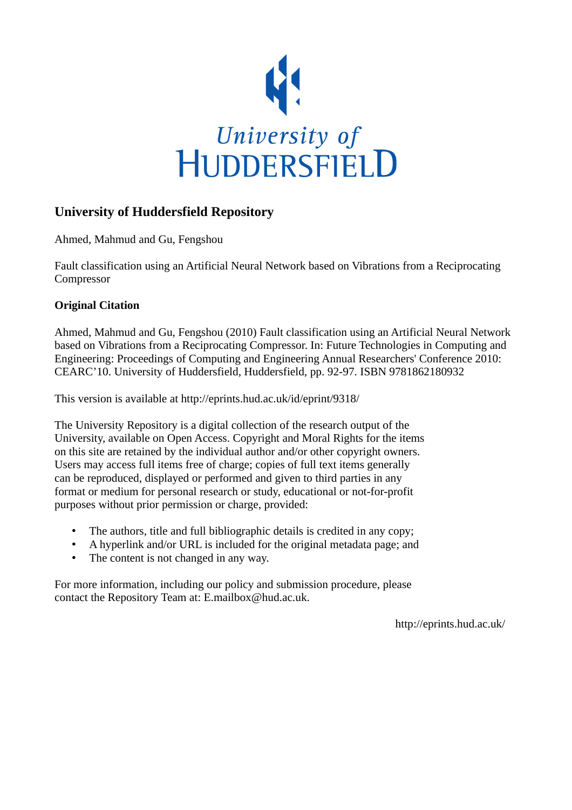

# **University of Huddersfield Repository**

Ahmed, Mahmud and Gu, Fengshou

Fault classification using an Artificial Neural Network based on Vibrations from a Reciprocating Compressor

# **Original Citation**

Ahmed, Mahmud and Gu, Fengshou (2010) Fault classification using an Artificial Neural Network based on Vibrations from a Reciprocating Compressor. In: Future Technologies in Computing and Engineering: Proceedings of Computing and Engineering Annual Researchers' Conference 2010: CEARC'10. University of Huddersfield, Huddersfield, pp. 92-97. ISBN 9781862180932

This version is available at http://eprints.hud.ac.uk/id/eprint/9318/

The University Repository is a digital collection of the research output of the University, available on Open Access. Copyright and Moral Rights for the items on this site are retained by the individual author and/or other copyright owners. Users may access full items free of charge; copies of full text items generally can be reproduced, displayed or performed and given to third parties in any format or medium for personal research or study, educational or not-for-profit purposes without prior permission or charge, provided:

- The authors, title and full bibliographic details is credited in any copy;
- A hyperlink and/or URL is included for the original metadata page; and
- The content is not changed in any way.

For more information, including our policy and submission procedure, please contact the Repository Team at: E.mailbox@hud.ac.uk.

http://eprints.hud.ac.uk/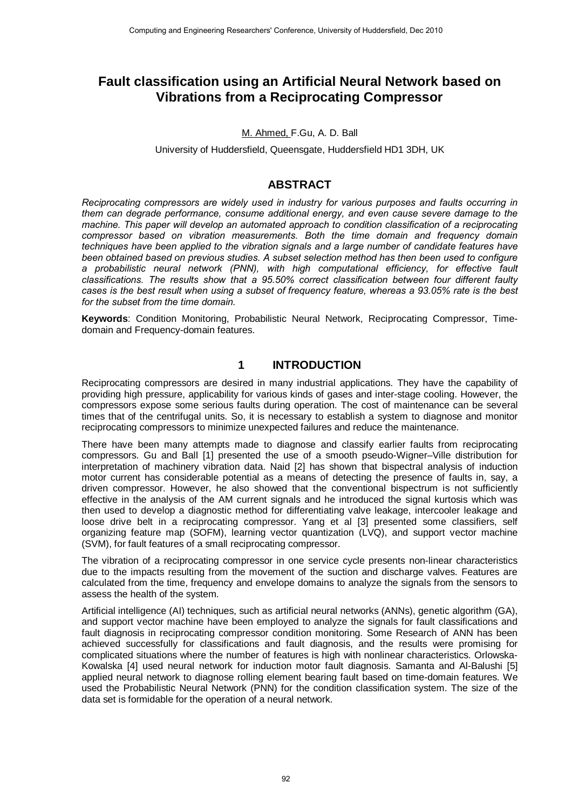# **Fault classification using an Artificial Neural Network based on Vibrations from a Reciprocating Compressor**

M. Ahmed, F.Gu, A. D. Ball

University of Huddersfield, Queensgate, Huddersfield HD1 3DH, UK

## **ABSTRACT**

*Reciprocating compressors are widely used in industry for various purposes and faults occurring in them can degrade performance, consume additional energy, and even cause severe damage to the machine. This paper will develop an automated approach to condition classification of a reciprocating compressor based on vibration measurements. Both the time domain and frequency domain techniques have been applied to the vibration signals and a large number of candidate features have been obtained based on previous studies. A subset selection method has then been used to configure a probabilistic neural network (PNN), with high computational efficiency, for effective fault classifications. The results show that a 95.50% correct classification between four different faulty cases is the best result when using a subset of frequency feature, whereas a 93.05% rate is the best for the subset from the time domain.* 

**Keywords**: Condition Monitoring, Probabilistic Neural Network, Reciprocating Compressor, Timedomain and Frequency-domain features.

### **1 INTRODUCTION**

Reciprocating compressors are desired in many industrial applications. They have the capability of providing high pressure, applicability for various kinds of gases and inter-stage cooling. However, the compressors expose some serious faults during operation. The cost of maintenance can be several times that of the centrifugal units. So, it is necessary to establish a system to diagnose and monitor reciprocating compressors to minimize unexpected failures and reduce the maintenance.

There have been many attempts made to diagnose and classify earlier faults from reciprocating compressors. Gu and Ball [1] presented the use of a smooth pseudo-Wigner–Ville distribution for interpretation of machinery vibration data. Naid [2] has shown that bispectral analysis of induction motor current has considerable potential as a means of detecting the presence of faults in, say, a driven compressor. However, he also showed that the conventional bispectrum is not sufficiently effective in the analysis of the AM current signals and he introduced the signal kurtosis which was then used to develop a diagnostic method for differentiating valve leakage, intercooler leakage and loose drive belt in a reciprocating compressor. Yang et al [3] presented some classifiers, self organizing feature map (SOFM), learning vector quantization (LVQ), and support vector machine (SVM), for fault features of a small reciprocating compressor.

The vibration of a reciprocating compressor in one service cycle presents non-linear characteristics due to the impacts resulting from the movement of the suction and discharge valves. Features are calculated from the time, frequency and envelope domains to analyze the signals from the sensors to assess the health of the system.

Artificial intelligence (AI) techniques, such as artificial neural networks (ANNs), genetic algorithm (GA), and support vector machine have been employed to analyze the signals for fault classifications and fault diagnosis in reciprocating compressor condition monitoring. Some Research of ANN has been achieved successfully for classifications and fault diagnosis, and the results were promising for complicated situations where the number of features is high with nonlinear characteristics. Orlowska-Kowalska [4] used neural network for induction motor fault diagnosis. Samanta and Al-Balushi [5] applied neural network to diagnose rolling element bearing fault based on time-domain features. We used the Probabilistic Neural Network (PNN) for the condition classification system. The size of the data set is formidable for the operation of a neural network.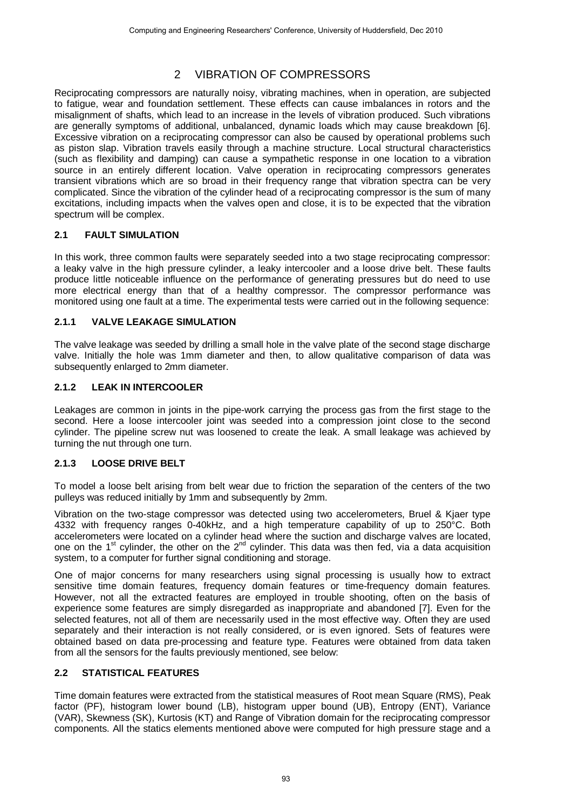# 2 VIBRATION OF COMPRESSORS

Reciprocating compressors are naturally noisy, vibrating machines, when in operation, are subjected to fatigue, wear and foundation settlement. These effects can cause imbalances in rotors and the misalignment of shafts, which lead to an increase in the levels of vibration produced. Such vibrations are generally symptoms of additional, unbalanced, dynamic loads which may cause breakdown [6]. Excessive vibration on a reciprocating compressor can also be caused by operational problems such as piston slap. Vibration travels easily through a machine structure. Local structural characteristics (such as flexibility and damping) can cause a sympathetic response in one location to a vibration source in an entirely different location. Valve operation in reciprocating compressors generates transient vibrations which are so broad in their frequency range that vibration spectra can be very complicated. Since the vibration of the cylinder head of a reciprocating compressor is the sum of many excitations, including impacts when the valves open and close, it is to be expected that the vibration spectrum will be complex.

### **2.1 FAULT SIMULATION**

In this work, three common faults were separately seeded into a two stage reciprocating compressor: a leaky valve in the high pressure cylinder, a leaky intercooler and a loose drive belt. These faults produce little noticeable influence on the performance of generating pressures but do need to use more electrical energy than that of a healthy compressor. The compressor performance was monitored using one fault at a time. The experimental tests were carried out in the following sequence:

### **2.1.1 VALVE LEAKAGE SIMULATION**

The valve leakage was seeded by drilling a small hole in the valve plate of the second stage discharge valve. Initially the hole was 1mm diameter and then, to allow qualitative comparison of data was subsequently enlarged to 2mm diameter.

#### **2.1.2 LEAK IN INTERCOOLER**

Leakages are common in joints in the pipe-work carrying the process gas from the first stage to the second. Here a loose intercooler joint was seeded into a compression joint close to the second cylinder. The pipeline screw nut was loosened to create the leak. A small leakage was achieved by turning the nut through one turn.

### **2.1.3 LOOSE DRIVE BELT**

To model a loose belt arising from belt wear due to friction the separation of the centers of the two pulleys was reduced initially by 1mm and subsequently by 2mm.

Vibration on the two-stage compressor was detected using two accelerometers, Bruel & Kjaer type 4332 with frequency ranges 0-40kHz, and a high temperature capability of up to 250°C. Both accelerometers were located on a cylinder head where the suction and discharge valves are located, one on the 1<sup>st</sup> cylinder, the other on the 2<sup>nd</sup> cylinder. This data was then fed, via a data acquisition system, to a computer for further signal conditioning and storage.

One of major concerns for many researchers using signal processing is usually how to extract sensitive time domain features, frequency domain features or time-frequency domain features. However, not all the extracted features are employed in trouble shooting, often on the basis of experience some features are simply disregarded as inappropriate and abandoned [7]. Even for the selected features, not all of them are necessarily used in the most effective way. Often they are used separately and their interaction is not really considered, or is even ignored. Sets of features were obtained based on data pre-processing and feature type. Features were obtained from data taken from all the sensors for the faults previously mentioned, see below:

### **2.2 STATISTICAL FEATURES**

Time domain features were extracted from the statistical measures of Root mean Square (RMS), Peak factor (PF), histogram lower bound (LB), histogram upper bound (UB), Entropy (ENT), Variance (VAR), Skewness (SK), Kurtosis (KT) and Range of Vibration domain for the reciprocating compressor components. All the statics elements mentioned above were computed for high pressure stage and a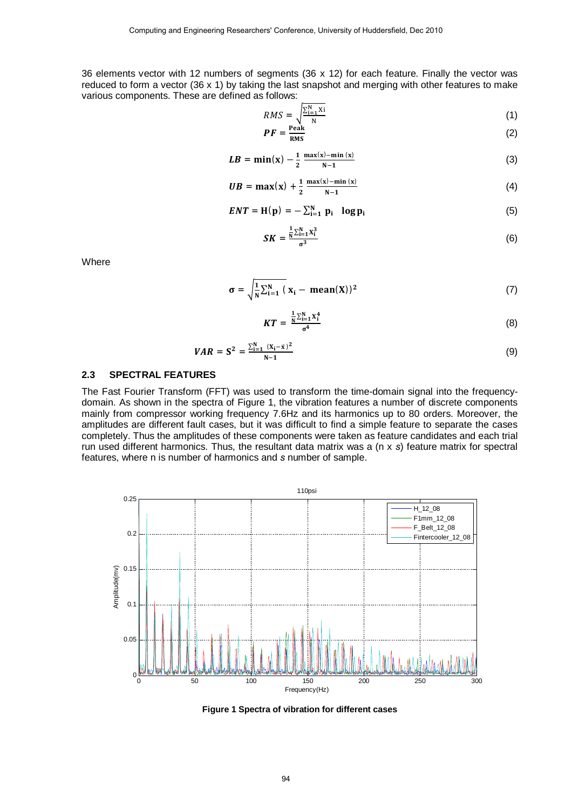36 elements vector with 12 numbers of segments (36 x 12) for each feature. Finally the vector was reduced to form a vector (36 x 1) by taking the last snapshot and merging with other features to make various components. These are defined as follows:

$$
RMS = \sqrt{\frac{\sum_{i=1}^{N} Xi}{N}}
$$
(1)  

$$
PF = \frac{\text{Peak}}{N}
$$
(2)

$$
P = \frac{1}{RMS} \tag{2}
$$

$$
LB = \min(x) - \frac{1}{2} \frac{\max(x) - \min(x)}{N - 1}
$$
 (3)

$$
UB = \max(x) + \frac{1}{2} \frac{\max(x) - \min(x)}{N - 1}
$$
 (4)

$$
ENT = H(p) = -\sum_{i=1}^{N} p_i \log p_i \qquad (5)
$$

$$
SK = \frac{\frac{1}{N} \sum_{i=1}^{N} x_i^3}{\sigma^3}
$$
 (6)

**Where** 

$$
\sigma = \sqrt{\frac{1}{N} \sum_{i=1}^{N} (x_i - \text{mean}(X))^2}
$$
 (7)

$$
KT = \frac{\frac{1}{N}\sum_{i=1}^{N}X_i^4}{\sigma^4}
$$
 (8)

$$
VAR = S^2 = \frac{\sum_{i=1}^{N} (X_i - \bar{x})^2}{N - 1}
$$
 (9)

#### **2.3 SPECTRAL FEATURES**

The Fast Fourier Transform (FFT) was used to transform the time-domain signal into the frequencydomain. As shown in the spectra of Figure 1, the vibration features a number of discrete components mainly from compressor working frequency 7.6Hz and its harmonics up to 80 orders. Moreover, the amplitudes are different fault cases, but it was difficult to find a simple feature to separate the cases completely. Thus the amplitudes of these components were taken as feature candidates and each trial run used different harmonics. Thus, the resultant data matrix was a (n x *s*) feature matrix for spectral features, where n is number of harmonics and *s* number of sample.



**Figure 1 Spectra of vibration for different cases**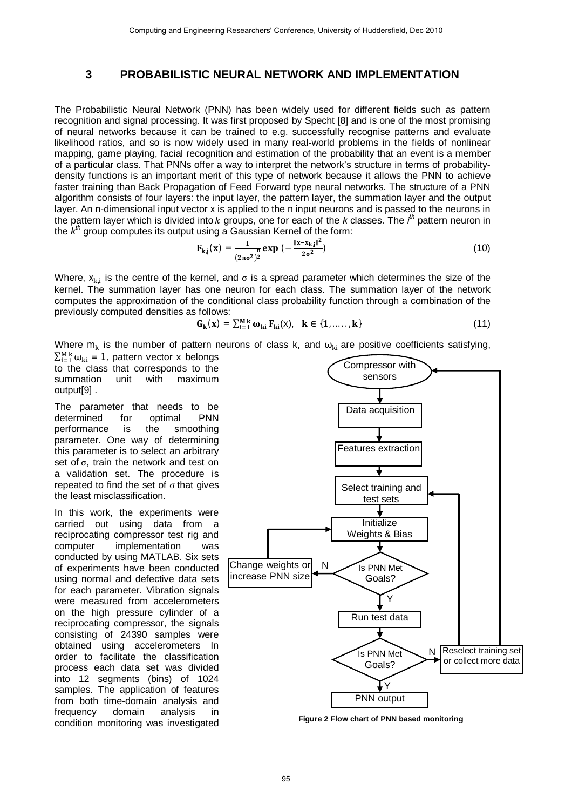## **3 PROBABILISTIC NEURAL NETWORK AND IMPLEMENTATION**

The Probabilistic Neural Network (PNN) has been widely used for different fields such as pattern recognition and signal processing. It was first proposed by Specht [8] and is one of the most promising of neural networks because it can be trained to e.g. successfully recognise patterns and evaluate likelihood ratios, and so is now widely used in many real-world problems in the fields of nonlinear mapping, game playing, facial recognition and estimation of the probability that an event is a member of a particular class. That PNNs offer a way to interpret the network's structure in terms of probabilitydensity functions is an important merit of this type of network because it allows the PNN to achieve faster training than Back Propagation of Feed Forward type neural networks. The structure of a PNN algorithm consists of four layers: the input layer, the pattern layer, the summation layer and the output layer. An n-dimensional input vector x is applied to the n input neurons and is passed to the neurons in the pattern layer which is divided into *k* groups, one for each of the *k* classes. The *i*<sup>th</sup> pattern neuron in the *k th* group computes its output using a Gaussian Kernel of the form:

$$
\mathbf{F}_{k,j}(\mathbf{x}) = \frac{1}{(2\pi\sigma^2)^{\frac{n}{2}}} \exp\left(-\frac{\|\mathbf{x} - \mathbf{x}_{k,j}\|^2}{2\sigma^2}\right)
$$
(10)

Where,  $x_{k,i}$  is the centre of the kernel, and  $\sigma$  is a spread parameter which determines the size of the kernel. The summation layer has one neuron for each class. The summation layer of the network computes the approximation of the conditional class probability function through a combination of the previously computed densities as follows:

$$
\mathbf{G}_{\mathbf{k}}(\mathbf{x}) = \sum_{i=1}^{M} \omega_{\mathbf{k}i} \, \mathbf{F}_{\mathbf{k}i}(\mathbf{x}), \quad \mathbf{k} \in \{1, \dots, \mathbf{k}\} \tag{11}
$$

Where m<sub>k</sub> is the number of pattern neurons of class k, and  $\omega_{ki}$  are positive coefficients satisfying,

 $\sum_{i=1}^{M} \omega_{ki} = 1$ , pattern vector x belongs to the class that corresponds to the<br>summation unit with maximum with maximum output[9] .

The parameter that needs to be determined for optimal PNN performance is the smoothing parameter. One way of determining this parameter is to select an arbitrary set of σ, train the network and test on a validation set. The procedure is repeated to find the set of  $\sigma$  that gives the least misclassification.

In this work, the experiments were carried out using data from a reciprocating compressor test rig and computer implementation was conducted by using MATLAB. Six sets of experiments have been conducted using normal and defective data sets for each parameter. Vibration signals were measured from accelerometers on the high pressure cylinder of a reciprocating compressor, the signals consisting of 24390 samples were obtained using accelerometers In order to facilitate the classification process each data set was divided into 12 segments (bins) of 1024 samples. The application of features from both time-domain analysis and frequency domain analysis in condition monitoring was investigated



**Figure 2 Flow chart of PNN based monitoring**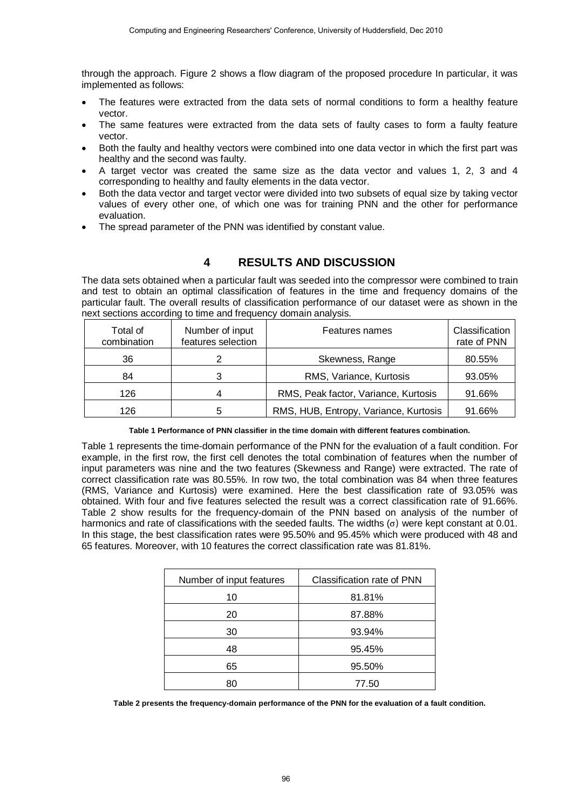through the approach. Figure 2 shows a flow diagram of the proposed procedure In particular, it was implemented as follows:

- The features were extracted from the data sets of normal conditions to form a healthy feature vector.
- The same features were extracted from the data sets of faulty cases to form a faulty feature vector.
- Both the faulty and healthy vectors were combined into one data vector in which the first part was healthy and the second was faulty.
- A target vector was created the same size as the data vector and values 1, 2, 3 and 4 corresponding to healthy and faulty elements in the data vector.
- Both the data vector and target vector were divided into two subsets of equal size by taking vector values of every other one, of which one was for training PNN and the other for performance evaluation.
- The spread parameter of the PNN was identified by constant value.

# **4 RESULTS AND DISCUSSION**

The data sets obtained when a particular fault was seeded into the compressor were combined to train and test to obtain an optimal classification of features in the time and frequency domains of the particular fault. The overall results of classification performance of our dataset were as shown in the next sections according to time and frequency domain analysis.

| Total of<br>combination | Number of input<br>features selection | Features names                        | Classification<br>rate of PNN |
|-------------------------|---------------------------------------|---------------------------------------|-------------------------------|
| 36                      |                                       | Skewness, Range                       | 80.55%                        |
| 84                      |                                       | RMS, Variance, Kurtosis               | 93.05%                        |
| 126                     |                                       | RMS, Peak factor, Variance, Kurtosis  | 91.66%                        |
| 126                     |                                       | RMS, HUB, Entropy, Variance, Kurtosis | 91.66%                        |

**Table 1 Performance of PNN classifier in the time domain with different features combination.** 

Table 1 represents the time-domain performance of the PNN for the evaluation of a fault condition. For example, in the first row, the first cell denotes the total combination of features when the number of input parameters was nine and the two features (Skewness and Range) were extracted. The rate of correct classification rate was 80.55%. In row two, the total combination was 84 when three features (RMS, Variance and Kurtosis) were examined. Here the best classification rate of 93.05% was obtained. With four and five features selected the result was a correct classification rate of 91.66%. Table 2 show results for the frequency-domain of the PNN based on analysis of the number of harmonics and rate of classifications with the seeded faults. The widths  $(\sigma)$  were kept constant at 0.01. In this stage, the best classification rates were 95.50% and 95.45% which were produced with 48 and 65 features. Moreover, with 10 features the correct classification rate was 81.81%.

| Number of input features | Classification rate of PNN |  |
|--------------------------|----------------------------|--|
| 10                       | 81.81%                     |  |
| 20                       | 87.88%                     |  |
| 30                       | 93.94%                     |  |
| 48                       | 95.45%                     |  |
| 65                       | 95.50%                     |  |
| 80                       | 77.50                      |  |

**Table 2 presents the frequency-domain performance of the PNN for the evaluation of a fault condition.**